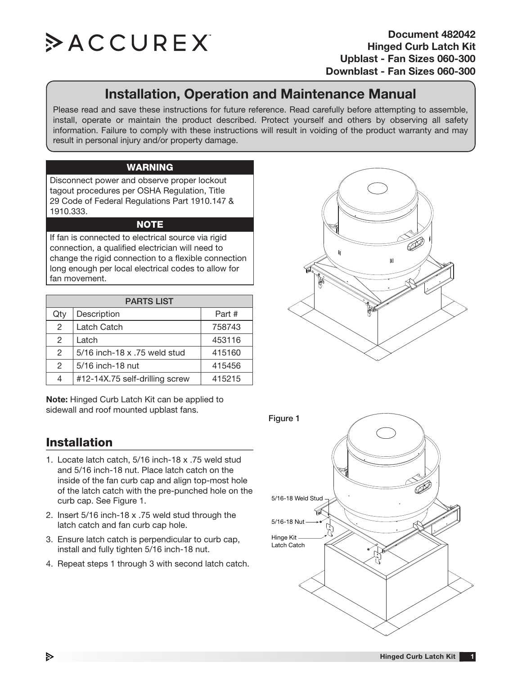

# **Installation, Operation and Maintenance Manual**

Please read and save these instructions for future reference. Read carefully before attempting to assemble, install, operate or maintain the product described. Protect yourself and others by observing all safety information. Failure to comply with these instructions will result in voiding of the product warranty and may result in personal injury and/or property damage.

#### **WARNING**

Disconnect power and observe proper lockout tagout procedures per OSHA Regulation, Title 29 Code of Federal Regulations Part 1910.147 & 1910.333.

### **NOTE**

If fan is connected to electrical source via rigid connection, a qualified electrician will need to change the rigid connection to a flexible connection long enough per local electrical codes to allow for fan movement.

| <b>PARTS LIST</b> |                                |        |
|-------------------|--------------------------------|--------|
| Qty               | Description                    | Part # |
| $\overline{2}$    | Latch Catch                    | 758743 |
| $\mathfrak{D}$    | Latch                          | 453116 |
| $\mathcal{P}$     | 5/16 inch-18 x .75 weld stud   | 415160 |
| $\mathcal{P}$     | 5/16 inch-18 nut               | 415456 |
|                   | #12-14X.75 self-drilling screw | 415215 |

**Note:** Hinged Curb Latch Kit can be applied to sidewall and roof mounted upblast fans.

## **Installation**

- 1. Locate latch catch, 5/16 inch-18 x .75 weld stud and 5/16 inch-18 nut. Place latch catch on the inside of the fan curb cap and align top-most hole of the latch catch with the pre-punched hole on the curb cap. See Figure 1.
- 2. Insert 5/16 inch-18 x .75 weld stud through the latch catch and fan curb cap hole.
- 3. Ensure latch catch is perpendicular to curb cap, install and fully tighten 5/16 inch-18 nut.
- 4. Repeat steps 1 through 3 with second latch catch.